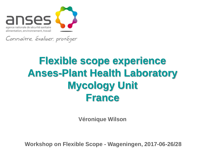

Connaître, évaluer, protéger

# **Flexible scope experience Anses-Plant Health Laboratory Mycology Unit France**

**Véronique Wilson**

**Workshop on Flexible Scope - Wageningen, 2017-06-26/28**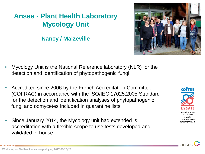# **Anses - Plant Health Laboratory Mycology Unit**

**Nancy / Malzeville**



- Mycology Unit is the National Reference laboratory (NLR) for the detection and identification of phytopathogenic fungi
- Accredited since 2006 by the French Accreditation Committee (COFRAC) in accordance with the ISO/IEC 17025:2005 Standard for the detection and identification analyses of phytopathogenic fungi and oomycetes included in quarantine lists
- Since January 2014, the Mycology unit had extended is accreditation with a flexible scope to use tests developed and validated in-house.



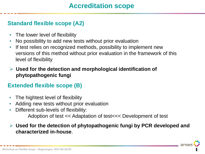## **Standard flexible scope (A2)**

- The lower level of flexibility
- No possibility to add new tests without prior evaluation
- If test relies on recognized methods, possibility to implement new versions of this method without prior evaluation in the framework of this level of flexibility
- **Used for the detection and morphological identification of phytopathogenic fungi**

# **Extended flexible scope (B)**

- The hightest level of flexibility
- Adding new tests without prior evaluation
- Different sub-levels of flexibility:
	- Adoption of test << Adaptation of test<<< Development of test

#### **Used for the detection of phytopathogenic fungi by PCR developed and characterized in-house**.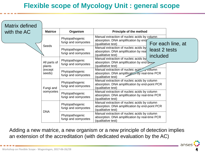# **Flexible scope of Mycology Unit : general scope**

| <b>Matrix defined</b> |                        |                                        |                                                                                                                      |                           |                   |
|-----------------------|------------------------|----------------------------------------|----------------------------------------------------------------------------------------------------------------------|---------------------------|-------------------|
| with the AC           | <b>Matrice</b>         | Organism                               | <b>Principle of the method</b>                                                                                       |                           |                   |
|                       | Seeds                  | Phytopathogenic<br>fungi and oomycetes | Manual extraction of nucleic acids by column<br>absorption. DNA amplification by end<br>(qualitative test)           |                           | For each line, at |
|                       |                        | Phytopathogenic<br>fungi and oomycetes | Manual extraction of nucleic acids by<br>absorption. DNA amplification by real<br>(qualitative test)                 | least 2 tests<br>included |                   |
|                       | All parts of<br>plants | Phytopathogenic<br>fungi and oomycetes | Manual extraction of nucleic acids by<br>absorption. DNA amplification by end-pow<br>(qualitative test)              |                           |                   |
|                       | (except<br>seeds)      | Phytopathogenic<br>fungi and oomycetes | Manual extraction of nucleic acid<br>absorption. DNA amplification by real-time PCR<br>(qualitative test)            | $\sim$ column             |                   |
|                       | Fungi and<br>oomycetes | Phytopathogenic<br>fungi and oomycetes | Manual extraction of nucleic acids by column<br>absorption. DNA amplification by end-point PCR<br>(qualitative test) |                           |                   |
|                       |                        | Phytopathogenic<br>fungi and oomycetes | Manual extraction of nucleic acids by column<br>absorption. DNA amplification by real-time PCR<br>(qualitative test) |                           |                   |
|                       | <b>DNA</b>             | Phytopathogenic<br>fungi and oomycetes | Manual extraction of nucleic acids by column<br>absorption. DNA amplification by end-point PCR<br>(qualitative test) |                           |                   |
|                       |                        | Phytopathogenic<br>fungi and oomycetes | Manual extraction of nucleic acids by column<br>absorption. DNA amplification by real-time PCR<br>(qualitative test) |                           |                   |

Adding a new matrice, a new organism or a new principle of detection implies an extension of the accreditation (with dedicated evaluation by the AC)

ans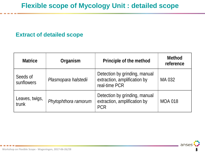#### **Extract of detailed scope**

| <b>Matrice</b>          | Organism             | <b>Principle of the method</b>                                                 | <b>Method</b><br>reference |
|-------------------------|----------------------|--------------------------------------------------------------------------------|----------------------------|
| Seeds of<br>sunflowers  | Plasmopara halstedii | Detection by grinding, manual<br>extraction, amplification by<br>real-time PCR | MA 032                     |
| Leaves, twigs,<br>trunk | Phytophthora ramorum | Detection by grinding, manual<br>extraction, amplification by<br><b>PCR</b>    | <b>MOA 018</b>             |

anse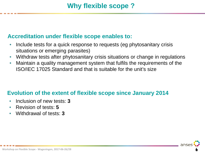#### **Accreditation under flexible scope enables to:**

- Include tests for a quick response to requests (eg phytosanitary crisis situations or emerging parasites)
- Withdraw tests after phytosanitary crisis situations or change in regulations
- Maintain a quality management system that fulfils the requirements of the ISO/IEC 17025 Standard and that is suitable for the unit's size

## **Evolution of the extent of flexible scope since January 2014**

- Inclusion of new tests: **3**
- Revision of tests: **5**
- Withdrawal of tests: **3**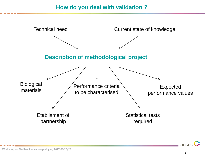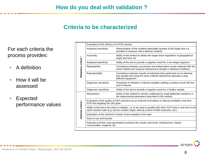#### **Criteria to be characterized**

For each criteria the process provides:

- A definition
- How it will be assessed
- Expected performance values

|                      | Evaluation of the efficacy of a PCR reaction                                                                                                                                                                     |                                                                                                                                                                       |  |  |  |
|----------------------|------------------------------------------------------------------------------------------------------------------------------------------------------------------------------------------------------------------|-----------------------------------------------------------------------------------------------------------------------------------------------------------------------|--|--|--|
| Mandatory criteria * | Analytical sensitivity:                                                                                                                                                                                          | Determination of the smallest detectable quantity of the target that it is<br>possible to measure with a defined certainty                                            |  |  |  |
|                      | Inclusivity:                                                                                                                                                                                                     | Ability of the method to detect the target taxon regardless of geographical<br>origin and host, etc                                                                   |  |  |  |
|                      | Analytical specificity:                                                                                                                                                                                          | Ability of the test to provide a negative result for a non-target organism                                                                                            |  |  |  |
|                      | Repeatability:                                                                                                                                                                                                   | Consistency between successive and independent results obtained with the<br>same method and using an identical test sample in identical conditions                    |  |  |  |
|                      | Reproducibility:                                                                                                                                                                                                 | Consistency between results of individual tests performed on an identical<br>test sample and using the same method obtained by operators using<br>different equipment |  |  |  |
|                      | Diagnostic sensitivity:                                                                                                                                                                                          | Proportion of infested or infected samples yielding a positive result with the<br>test of interest                                                                    |  |  |  |
|                      | Diagnostic specificity:                                                                                                                                                                                          | Ability of the test to provide a negative result for a healthy sample                                                                                                 |  |  |  |
| Optional criteria*   | Robustness:                                                                                                                                                                                                      | Ability of the method to remain unaffected by small deliberate variations in<br>the experimental parameters described in the method.                                  |  |  |  |
|                      | Evaluation of the quality of DNA extraction by an external (monoplex) or internal (multiplex) real-time<br>PCR test targeting the 18S gene                                                                       |                                                                                                                                                                       |  |  |  |
|                      | Ability of the test to be used in multiplex, i.e. to be used in parallel with other PCR tests in real time in the<br>same reaction tube (e.g. test for another target, internal control of DNA extraction, etc.) |                                                                                                                                                                       |  |  |  |
|                      | Evaluation of the minimum number of test samples to be used                                                                                                                                                      |                                                                                                                                                                       |  |  |  |
|                      | Ease of use and transfer                                                                                                                                                                                         |                                                                                                                                                                       |  |  |  |
|                      | Estimate of all the costs generated to produce the results: personnel, infrastructure, liquids,<br>consumables, reagents, etc.                                                                                   |                                                                                                                                                                       |  |  |  |

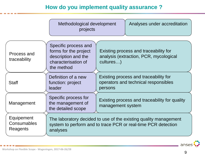## **How do you implement quality assurance ?**

|                                              | Methodological development<br>projects                                                                                                        |                                                                                          | Analyses under accreditation                                                    |  |
|----------------------------------------------|-----------------------------------------------------------------------------------------------------------------------------------------------|------------------------------------------------------------------------------------------|---------------------------------------------------------------------------------|--|
| Process and<br>traceability                  | Specific process and<br>forms for the project<br>description and the<br>characterisation of<br>the method                                     | cultures)                                                                                | Existing process and traceability for<br>analysis (extraction, PCR, mycological |  |
| <b>Staff</b>                                 | Definition of a new<br>function: project<br>leader                                                                                            | Existing process and traceability for<br>operators and technical responsibles<br>persons |                                                                                 |  |
| Management                                   | Specific process for<br>the management of<br>the detailed scope                                                                               |                                                                                          | Existing process and traceability for quality<br>management system              |  |
| Equipement<br><b>Consumables</b><br>Reagents | The laboratory decided to use of the existing quality management<br>system to perform and to trace PCR or real-time PCR detection<br>analyses |                                                                                          |                                                                                 |  |

anses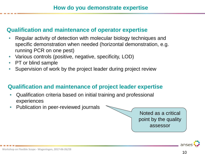#### **Qualification and maintenance of operator expertise**

- Regular activity of detection with molecular biology techniques and specific demonstration when needed (horizontal demonstration, e.g. running PCR on one pest)
- Various controls (positive, negative, specificity, LOD)
- PT or blind sample
- Supervision of work by the project leader during project review

## **Qualification and maintenance of project leader expertise**

- Qualification criteria based on initial training and professional experiences
- Publication in peer-reviewed journals

Noted as a critical point by the quality assessor